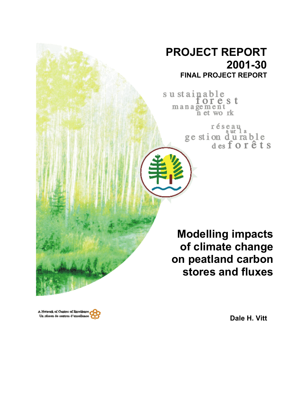# **PROJECT REPORT 2001-30 FINAL PROJECT REPORT**

sustainable forest management<br>net work

> réseau ge stion durable<br>desforêts

**Modelling impacts of climate change on peatland carbon stores and fluxes**



**Dale H. Vitt**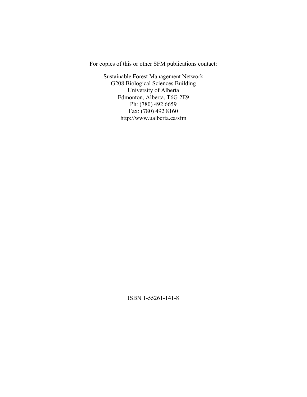For copies of this or other SFM publications contact:

Sustainable Forest Management Network G208 Biological Sciences Building University of Alberta Edmonton, Alberta, T6G 2E9 Ph: (780) 492 6659 Fax: (780) 492 8160 http://www.ualberta.ca/sfm

ISBN 1-55261-141-8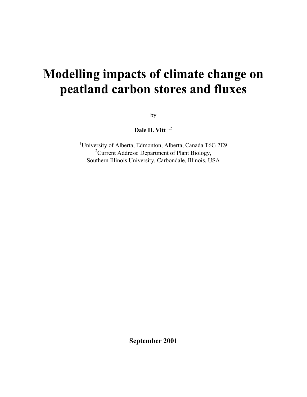# **Modelling impacts of climate change on peatland carbon stores and fluxes**

by

Dale H. Vitt<sup>1,2</sup>

<sup>1</sup>University of Alberta, Edmonton, Alberta, Canada T6G 2E9 <sup>2</sup> Current Address: Department of Plant Biology, Southern Illinois University, Carbondale, Illinois, USA

**September 2001**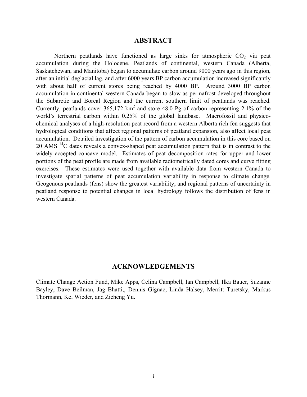#### **ABSTRACT**

Northern peatlands have functioned as large sinks for atmospheric  $CO<sub>2</sub>$  via peat accumulation during the Holocene. Peatlands of continental, western Canada (Alberta, Saskatchewan, and Manitoba) began to accumulate carbon around 9000 years ago in this region, after an initial deglacial lag, and after 6000 years BP carbon accumulation increased significantly with about half of current stores being reached by 4000 BP. Around 3000 BP carbon accumulation in continental western Canada began to slow as permafrost developed throughout the Subarctic and Boreal Region and the current southern limit of peatlands was reached. Currently, peatlands cover  $365,172 \text{ km}^2$  and store 48.0 Pg of carbon representing 2.1% of the world's terrestrial carbon within 0.25% of the global landbase. Macrofossil and physicochemical analyses of a high-resolution peat record from a western Alberta rich fen suggests that hydrological conditions that affect regional patterns of peatland expansion, also affect local peat accumulation. Detailed investigation of the pattern of carbon accumulation in this core based on 20 AMS  $^{14}$ C dates reveals a convex-shaped peat accumulation pattern that is in contrast to the widely accepted concave model. Estimates of peat decomposition rates for upper and lower portions of the peat profile are made from available radiometrically dated cores and curve fitting exercises. These estimates were used together with available data from western Canada to investigate spatial patterns of peat accumulation variability in response to climate change. Geogenous peatlands (fens) show the greatest variability, and regional patterns of uncertainty in peatland response to potential changes in local hydrology follows the distribution of fens in western Canada.

#### **ACKNOWLEDGEMENTS**

Climate Change Action Fund, Mike Apps, Celina Campbell, Ian Campbell, Ilka Bauer, Suzanne Bayley, Dave Beilman, Jag Bhatti,, Dennis Gignac, Linda Halsey, Merritt Turetsky, Markus Thormann, Kel Wieder, and Zicheng Yu.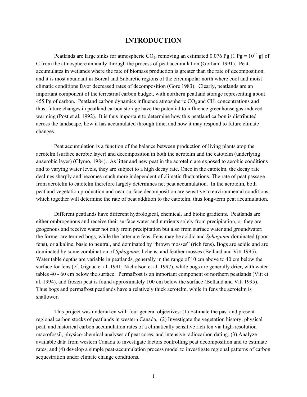#### **INTRODUCTION**

Peatlands are large sinks for atmospheric CO<sub>2</sub>, removing an estimated 0.076 Pg (1 Pg =  $10^{15}$  g) of C from the atmosphere annually through the process of peat accumulation (Gorham 1991). Peat accumulates in wetlands where the rate of biomass production is greater than the rate of decomposition, and it is most abundant in Boreal and Subarctic regions of the circumpolar north where cool and moist climatic conditions favor decreased rates of decomposition (Gore 1983). Clearly, peatlands are an important component of the terrestrial carbon budget, with northern peatland storage representing about 455 Pg of carbon. Peatland carbon dynamics influence atmospheric  $CO<sub>2</sub>$  and CH<sub>4</sub> concentrations and thus, future changes in peatland carbon storage have the potential to influence greenhouse gas-induced warming (Post et al. 1992). It is thus important to determine how this peatland carbon is distributed across the landscape, how it has accumulated through time, and how it may respond to future climate changes.

Peat accumulation is a function of the balance between production of living plants atop the acrotelm (surface aerobic layer) and decomposition in both the acrotelm and the catotelm (underlying anaerobic layer) (Clymo, 1984). As litter and new peat in the acrotelm are exposed to aerobic conditions and to varying water levels, they are subject to a high decay rate. Once in the catotelm, the decay rate declines sharply and becomes much more independent of climatic fluctuations. The rate of peat passage from acrotelm to catotelm therefore largely determines net peat accumulation. In the acrotelm, both peatland vegetation production and near-surface decomposition are sensitive to environmental conditions, which together will determine the rate of peat addition to the catotelm, thus long-term peat accumulation.

Different peatlands have different hydrological, chemical, and biotic gradients. Peatlands are either ombrogenous and receive their surface water and nutrients solely from precipitation, or they are geogenous and receive water not only from precipitation but also from surface water and groundwater; the former are termed bogs, while the latter are fens. Fens may be acidic and *Sphagnum*-dominated (poor fens), or alkaline, basic to neutral, and dominated by "brown mosses" (rich fens). Bogs are acidic and are dominated by some combination of *Sphagnum*, lichens, and feather mosses (Belland and Vitt 1995). Water table depths are variable in peatlands, generally in the range of 10 cm above to 40 cm below the surface for fens (cf. Gignac et al. 1991; Nicholson et al. 1997), while bogs are generally drier, with water tables 40 - 60 cm below the surface. Permafrost is an important component of northern peatlands (Vitt et al. 1994), and frozen peat is found approximately 100 cm below the surface (Belland and Vitt 1995). Thus bogs and permafrost peatlands have a relatively thick acrotelm, while in fens the acrotelm is shallower.

This project was undertaken with four general objectives: (1) Estimate the past and present regional carbon stocks of peatlands in western Canada, (2) Investigate the vegetation history, physical peat, and historical carbon accumulation rates of a climatically sensitive rich fen via high-resolution macrofossil, physico-chemical analyses of peat cores, and intensive radiocarbon dating, (3) Analyze available data from western Canada to investigate factors controlling peat decomposition and to estimate rates, and (4) develop a simple peat-accumulation process model to investigate regional patterns of carbon sequestration under climate change conditions.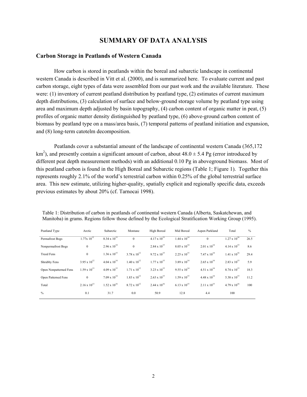## **SUMMARY OF DATA ANALYSIS**

#### **Carbon Storage in Peatlands of Western Canada**

How carbon is stored in peatlands within the boreal and subarctic landscape in continental western Canada is described in Vitt et al. (2000), and is summarized here. To evaluate current and past carbon storage, eight types of data were assembled from our past work and the available literature. These were: (1) inventory of current peatland distribution by peatland type, (2) estimates of current maximum depth distributions, (3) calculation of surface and below-ground storage volume by peatland type using area and maximum depth adjusted by basin topography, (4) carbon content of organic matter in peat, (5) profiles of organic matter density distinguished by peatland type, (6) above-ground carbon content of biomass by peatland type on a mass/area basis, (7) temporal patterns of peatland initiation and expansion, and (8) long-term catotelm decomposition.

Peatlands cover a substantial amount of the landscape of continental western Canada (365,172 km<sup>2</sup>), and presently contain a significant amount of carbon, about  $48.0 \pm 5.4$  Pg (error introduced by different peat depth measurement methods) with an additional 0.10 Pg in aboveground biomass. Most of this peatland carbon is found in the High Boreal and Subarctic regions (Table 1; Figure 1). Together this represents roughly 2.1% of the world's terrestrial carbon within 0.25% of the global terrestrial surface area. This new estimate, utilizing higher-quality, spatially explicit and regionally specific data, exceeds previous estimates by about 20% (cf. Tarnocai 1998).

| Peatland Type          | Arctic                | Subarctic             | Montane               | High Boreal           | Mid Boreal            | Aspen Parkland        | Total                 | $\%$ |
|------------------------|-----------------------|-----------------------|-----------------------|-----------------------|-----------------------|-----------------------|-----------------------|------|
| Permafrost Bogs        | $1.77x 10^{12}$       | $8.34 \times 10^{15}$ | $\theta$              | $4.17 \times 10^{15}$ | $1.44 \times 10^{14}$ | $\Omega$              | $1.27 \times 10^{16}$ | 26.5 |
| Nonpermafrost Bogs     | $\mathbf{0}$          | $2.96 \times 10^{14}$ | $\mathbf{0}$          | $2.84 \times 10^{15}$ | $8.05 \times 10^{14}$ | $2.01 \times 10^{14}$ | $4.14 \times 10^{15}$ | 8.6  |
| <b>Treed Fens</b>      | $\mathbf{0}$          | $1.36 \times 10^{15}$ | $3.78 \times 10^{12}$ | $9.72 \times 10^{15}$ | $2.25 \times 10^{15}$ | $7.47 \times 10^{14}$ | $1.41 \times 10^{16}$ | 29.4 |
| Shrubby Fens           | $3.95 \times 10^{12}$ | $4.04 \times 10^{14}$ | $1.40 \times 10^{12}$ | $1.77 \times 10^{15}$ | $3.89 \times 10^{14}$ | $2.65 \times 10^{14}$ | $2.83 \times 10^{15}$ | 5.9  |
| Open Nonpatterned Fens | $1.59 \times 10^{13}$ | $4.09 \times 10^{15}$ | $1.71 \times 10^{12}$ | $3.23 \times 10^{15}$ | $9.55 \times 10^{14}$ | $4.51 \times 10^{14}$ | $8.74 \times 10^{15}$ | 18.3 |
| Open Patterned Fens    | $\mathbf{0}$          | $7.09 \times 10^{14}$ | $1.83 \times 10^{12}$ | $2.63 \times 10^{15}$ | $1.59 \times 10^{15}$ | $4.48 \times 10^{14}$ | 5.38 x $10^{15}$      | 11.2 |
| Total                  | $2.16 \times 10^{13}$ | $1.52 \times 10^{16}$ | $8.72 \times 10^{12}$ | $2.44 \times 10^{16}$ | $6.13 \times 10^{15}$ | $2.11 \times 10^{15}$ | $4.79 \times 10^{16}$ | 100  |
| $\frac{0}{0}$          | 0.1                   | 31.7                  | 0.0                   | 50.9                  | 12.8                  | 4.4                   | 100                   |      |

Table 1: Distribution of carbon in peatlands of continental western Canada (Alberta, Saskatchewan, and Manitoba) in grams. Regions follow those defined by the Ecological Stratification Working Group (1995).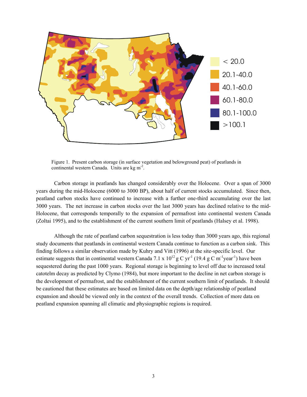

Figure 1. Present carbon storage (in surface vegetation and belowground peat) of peatlands in continental western Canada. Units are kg m-2.

Carbon storage in peatlands has changed considerably over the Holocene. Over a span of 3000 years during the mid-Holocene (6000 to 3000 BP), about half of current stocks accumulated. Since then, peatland carbon stocks have continued to increase with a further one-third accumulating over the last 3000 years. The net increase in carbon stocks over the last 3000 years has declined relative to the mid-Holocene, that corresponds temporally to the expansion of permafrost into continental western Canada (Zoltai 1995), and to the establishment of the current southern limit of peatlands (Halsey et al. 1998).

Although the rate of peatland carbon sequestration is less today than 3000 years ago, this regional study documents that peatlands in continental western Canada continue to function as a carbon sink. This finding follows a similar observation made by Kuhry and Vitt (1996) at the site-specific level. Our estimate suggests that in continental western Canada 7.1 x  $10^{12}$  g C yr<sup>-1</sup> (19.4 g C m<sup>-1</sup>year<sup>-1</sup>) have been sequestered during the past 1000 years. Regional storage is beginning to level off due to increased total catotelm decay as predicted by Clymo (1984), but more important to the decline in net carbon storage is the development of permafrost, and the establishment of the current southern limit of peatlands. It should be cautioned that these estimates are based on limited data on the depth/age relationship of peatland expansion and should be viewed only in the context of the overall trends. Collection of more data on peatland expansion spanning all climatic and physiographic regions is required.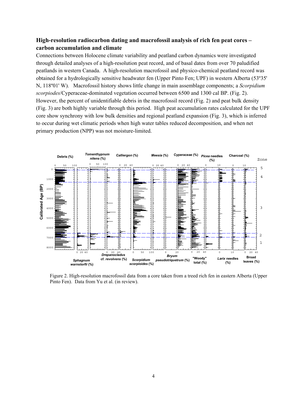#### **High-resolution radiocarbon dating and macrofossil analysis of rich fen peat cores – carbon accumulation and climate**

Connections between Holocene climate variability and peatland carbon dynamics were investigated through detailed analyses of a high-resolution peat record, and of basal dates from over 70 paludified peatlands in western Canada. A high-resolution macrofossil and physico-chemical peatland record was obtained for a hydrologically sensitive headwater fen (Upper Pinto Fen; UPF) in western Alberta (53º35' N, 118º01' W). Macrofossil history shows little change in main assemblage components; a *Scorpidium scorpiodes*/Cyperaceae-dominated vegetation occurred between 6500 and 1300 cal BP. (Fig. 2). However, the percent of unidentifiable debris in the macrofossil record (Fig. 2) and peat bulk density (Fig. 3) are both highly variable through this period. High peat accumulation rates calculated for the UPF core show synchrony with low bulk densities and regional peatland expansion (Fig. 3), which is inferred to occur during wet climatic periods when high water tables reduced decomposition, and when net primary production (NPP) was not moisture-limited.



Figure 2. High-resolution macrofossil data from a core taken from a treed rich fen in eastern Alberta (Upper Pinto Fen). Data from Yu et al. (in review).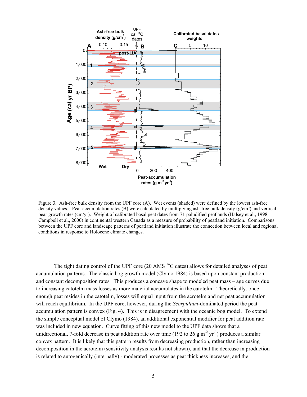

Figure 3. Ash-free bulk density from the UPF core (A). Wet events (shaded) were defined by the lowest ash-free density values. Peat-accumulation rates (B) were calculated by multiplying ash-free bulk density  $(g/cm<sup>3</sup>)$  and vertical peat-growth rates (cm/yr). Weight of calibrated basal peat dates from 71 paludified peatlands (Halsey et al., 1998; Campbell et al., 2000) in continental western Canada as a measure of probability of peatland initiation. Comparisons between the UPF core and landscape patterns of peatland initiation illustrate the connection between local and regional conditions in response to Holocene climate changes.

The tight dating control of the UPF core (20 AMS  $^{14}$ C dates) allows for detailed analyses of peat accumulation patterns. The classic bog growth model (Clymo 1984) is based upon constant production, and constant decomposition rates. This produces a concave shape to modeled peat mass – age curves due to increasing catotelm mass losses as more material accumulates in the catotelm. Theoretically, once enough peat resides in the catotelm, losses will equal input from the acrotelm and net peat accumulation will reach equilibrium. In the UPF core, however, during the *Scorpidium*-dominated period the peat accumulation pattern is convex (Fig. 4). This is in disagreement with the oceanic bog model. To extend the simple conceptual model of Clymo (1984), an additional exponential modifier for peat addition rate was included in new equation. Curve fitting of this new model to the UPF data shows that a unidirectional, 7-fold decrease in peat addition rate over time (192 to 26 g m<sup>-2</sup> yr<sup>-1</sup>) produces a similar convex pattern. It is likely that this pattern results from decreasing production, rather than increasing decomposition in the acrotelm (sensitivity analysis results not shown), and that the decrease in production is related to autogenically (internally) - moderated processes as peat thickness increases, and the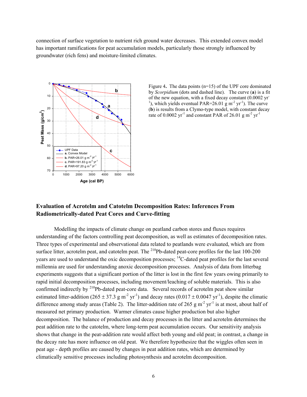connection of surface vegetation to nutrient rich ground water decreases. This extended convex model has important ramifications for peat accumulation models, particularly those strongly influenced by groundwater (rich fens) and moisture-limited climates.



Figure 4. The data points (n=15) of the UPF core dominated by *Scorpidium* (dots and dashed line). The curve (**a**) is a fit of the new equation, with a fixed decay constant (0.0002 yr-<sup>1</sup>), which yields eventual PAR=26.01 g m<sup>-2</sup> yr<sup>-1</sup>). The curve (**b**) is results from a Clymo-type model, with constant decay rate of 0.0002  $yr^{-1}$  and constant PAR of 26.01 g m<sup>-2</sup>  $yr^{-1}$ 

#### **Evaluation of Acrotelm and Catotelm Decomposition Rates: Inferences From Radiometrically-dated Peat Cores and Curve-fitting**

Modelling the impacts of climate change on peatland carbon stores and fluxes requires understanding of the factors controlling peat decomposition, as well as estimates of decomposition rates. Three types of experimental and observational data related to peatlands were evaluated, which are from surface litter, acrotelm peat, and catotelm peat. The  $^{210}Pb$ -dated peat-core profiles for the last 100-200 years are used to understand the oxic decomposition processes; <sup>14</sup>C-dated peat profiles for the last several millennia are used for understanding anoxic decomposition processes. Analysis of data from litterbag experiments suggests that a significant portion of the litter is lost in the first few years owing primarily to rapid initial decomposition processes, including movement/leaching of soluble materials. This is also confirmed indirectly by <sup>210</sup>Pb-dated peat-core data. Several records of acrotelm peat show similar estimated litter-addition (265  $\pm$  37.3 g m<sup>-2</sup> yr<sup>-1</sup>) and decay rates (0.017  $\pm$  0.0047 yr<sup>-1</sup>), despite the climatic difference among study areas (Table 2). The litter-addition rate of 265 g m<sup>-2</sup> yr<sup>-1</sup> is at most, about half of measured net primary production. Warmer climates cause higher production but also higher decomposition. The balance of production and decay processes in the litter and acrotelm determines the peat addition rate to the catotelm, where long-term peat accumulation occurs. Our sensitivity analysis shows that change in the peat-addition rate would affect both young and old peat; in contrast, a change in the decay rate has more influence on old peat. We therefore hypothesize that the wiggles often seen in peat age - depth profiles are caused by changes in peat addition rates, which are determined by climatically sensitive processes including photosynthesis and acrotelm decomposition.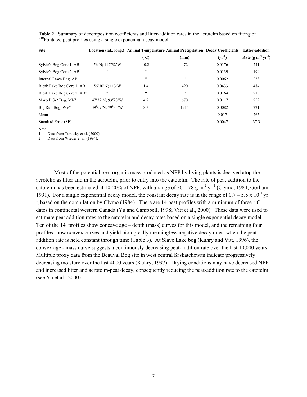| Site                                   | Location (lat., long.) | <b>Annual 1 emperature Annual Precipitation Decay Coefficients</b> |                 |             | Litter-addition                            |
|----------------------------------------|------------------------|--------------------------------------------------------------------|-----------------|-------------|--------------------------------------------|
|                                        |                        | $(^{\rm o}C)$                                                      | (mm)            | $(yr^{-1})$ | Rate (g m <sup>-2</sup> yr <sup>-1</sup> ) |
| Sylvie's Bog Core 1, $ABT$             | 56°N; 112°32'W         | $-0.2$                                                             | 472             | 0.0176      | 241                                        |
| Sylvie's Bog Core 2, $AB1$             | $\zeta$ $\zeta$        | $\zeta$ $\zeta$                                                    | $\zeta$ $\zeta$ | 0.0139      | 199                                        |
| Internal Lawn Bog, AB <sup>1</sup>     | $\zeta$ $\zeta$        | $\zeta$ $\zeta$                                                    | $\zeta\,\zeta$  | 0.0062      | 238                                        |
| Bleak Lake Bog Core 1, AB <sup>1</sup> | 56°30'N; 113°W         | 1.4                                                                | 490             | 0.0433      | 484                                        |
| Bleak Lake Bog Core 2, AB <sup>1</sup> | $\zeta$ $\zeta$        | $\zeta$ $\zeta$                                                    | $\zeta$ $\zeta$ | 0.0164      | 213                                        |
| Marcell S-2 Bog, $MN^2$                | 47°32'N; 93°28'W       | 4.2                                                                | 670             | 0.0117      | 259                                        |
| Big Run Bog, $WV^2$                    | 39°07'N; 79°35'W       | 8.3                                                                | 1215            | 0.0082      | 221                                        |
| Mean                                   |                        |                                                                    |                 | 0.017       | 265                                        |
| Standard Error (SE)                    |                        |                                                                    |                 | 0.0047      | 37.3                                       |

Table 2. Summary of decomposition coefficients and litter-addition rates in the acrotelm based on fitting of 210Pb-dated peat profiles using a single exponential decay model.

Note:

1. Data from Turetsky et al. (2000)

2. Data from Wieder et al. (1994).

Most of the potential peat organic mass produced as NPP by living plants is decayed atop the acrotelm as litter and in the acrotelm, prior to entry into the catotelm. The rate of peat addition to the catotelm has been estimated at 10-20% of NPP, with a range of  $36 - 78$  g m<sup>-2</sup> yr<sup>-1</sup> (Clymo, 1984; Gorham, 1991). For a single exponential decay model, the constant decay rate is in the range of  $0.7 - 5.5 \times 10^{-4}$  yr-<sup>1</sup>, based on the compilation by Clymo (1984). There are 14 peat profiles with a minimum of three <sup>14</sup>C dates in continental western Canada (Yu and Campbell, 1998; Vitt et al., 2000). These data were used to estimate peat addition rates to the catotelm and decay rates based on a single exponential decay model. Ten of the 14 profiles show concave age – depth (mass) curves for this model, and the remaining four profiles show convex curves and yield biologically meaningless negative decay rates, when the peataddition rate is held constant through time (Table 3). At Slave Lake bog (Kuhry and Vitt, 1996), the convex age - mass curve suggests a continuously decreasing peat-addition rate over the last 10,000 years. Multiple proxy data from the Beauval Bog site in west central Saskatchewan indicate progressively decreasing moisture over the last 4000 years (Kuhry, 1997). Drying conditions may have decreased NPP and increased litter and acrotelm-peat decay, consequently reducing the peat-addition rate to the catotelm (see Yu et al., 2000).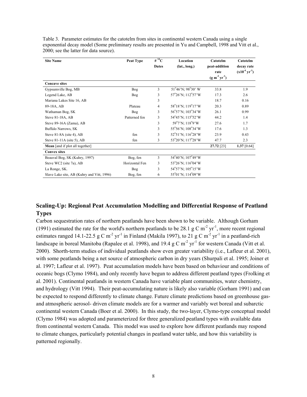| Table 3. Parameter estimates for the catotelm from sites in continental western Canada using a single     |
|-----------------------------------------------------------------------------------------------------------|
| exponential decay model (Some preliminary results are presented in Yu and Campbell, 1998 and Vitt et al., |
| 2000; see the latter for data source).                                                                    |

| <b>Site Name</b>                           | Peat Type      | # $^{14}$ C  | Location                                               | Catotelm       | Catotelm             |  |
|--------------------------------------------|----------------|--------------|--------------------------------------------------------|----------------|----------------------|--|
|                                            |                | <b>Dates</b> | (lat., long.)                                          | peat-addition  | decay rate           |  |
|                                            |                |              |                                                        | rate           | $(x10^{-4} yr^{-1})$ |  |
|                                            |                |              |                                                        | $(g m-2 yr-1)$ |                      |  |
| <b>Concave sites</b>                       |                |              |                                                        |                |                      |  |
| Gypsumville Bog, MB                        | Bog            | 3            | $51^{\circ}46^{\prime}$ N; $98^{\circ}30^{\prime}$ W   | 33.8           | 1.9                  |  |
| Legend Lake, AB                            | Bog            | 3            | $57^{\circ}26^{\prime}$ N; $112^{\circ}57^{\prime}$ W  | 17.3           | 2.6                  |  |
| Mariana Lakes Site 16, AB                  |                | 3            |                                                        | 18.7           | 0.16                 |  |
| 89-18A, AB                                 | Plateau        | 4            | 58°18'N; 119°17'W                                      | 20.3           | 0.89                 |  |
| Wathaman Bog, SK                           | Bog            | 3            | $56^{\circ}57^{\prime}$ N; $103^{\circ}34^{\prime}$ W  | 26.1           | 0.99                 |  |
| Steve 81-18A, AB                           | Patterned fen  | 3            | 54°45'N; 115°52'W                                      | 44.2           | 1.4                  |  |
| Steve 89-16A (Zama), AB                    |                | 3            | 59°7'N; 118°9'W                                        | 27.6           | 1.7                  |  |
| Buffalo Narrows, SK                        |                | 3            | 55°56'N; 108°34'W                                      | 17.6           | 1.3                  |  |
| Steve $81-8A$ (site 4), AB                 | fen            | 3            | $52^{\circ}51'$ N; $116^{\circ}28'$ W                  | 23.9           | 0.43                 |  |
| Steve 81-11A (site 5), AB                  | fen            | 3            | 53°20'N; 117°28'W                                      | 47.7           | 2.3                  |  |
| Mean [and if plot all together]            |                |              |                                                        | 27.72 [23]     | 1.37 $[0.64]$        |  |
| <b>Convex sites</b>                        |                |              |                                                        |                |                      |  |
| Beauval Bog, SK (Kuhry, 1997)              | Bog, fen       | 3            | 54°40'N; 107°49'W                                      |                |                      |  |
| Steve WC2 (site 7a), AB                    | Horizontal Fen | 3            | $53^{\circ}26^{\prime}$ N; 116 $^{\circ}04^{\prime}$ W |                |                      |  |
| La Ronge, SK.                              | Bog            | 3            | $54^{\circ}57'$ N; $105^{\circ}15'$ W                  |                |                      |  |
| Slave Lake site, AB (Kuhry and Vitt, 1996) | Bog, fen       | 6            | 55°01'N; 114°09'W                                      |                |                      |  |

## **Scaling-Up: Regional Peat Accumulation Modelling and Differential Response of Peatland Types**

Carbon sequestration rates of northern peatlands have been shown to be variable. Although Gorham (1991) estimated the rate for the world's northern peatlands to be 28.1 g C m<sup>-2</sup> yr<sup>-1</sup>, more recent regional estimates ranged 14.1-22.5 g C m<sup>-2</sup> yr<sup>-1</sup> in Finland (Makila 1997), to 21 g C m<sup>-2</sup> yr<sup>-1</sup> in a peatland-rich landscape in boreal Manitoba (Rapalee et al. 1998), and 19.4 g C m<sup>-2</sup> yr<sup>-1</sup> for western Canada (Vitt et al. 2000). Shorth-term studies of individual peatlands show even greater variability (i.e., Lafleur et al. 2001), with some peatlands being a net source of atmospheric carbon in dry years (Shurpali et al. 1995; Joiner et al. 1997; Lafleur et al. 1997). Peat accumulation models have been based on behaviour and conditions of oceanic bogs (Clymo 1984), and only recently have begun to address different peatland types (Frolking et al. 2001). Continental peatlands in western Canada have variable plant communities, water chemistry, and hydrology (Vitt 1994). Their peat-accumulating nature is likely also variable (Gorham 1991) and can be expected to respond differently to climate change. Future climate predictions based on greenhouse gasand atmospheric aerosol- driven climate models are for a warmer and variably wet boreal and subarctic continental western Canada (Boer et al. 2000). In this study, the two-layer, Clymo-type conceptual model (Clymo 1984) was adopted and parameterized for three generalized peatland types with available data from continental western Canada. This model was used to explore how different peatlands may respond to climate changes, particularly potential changes in peatland water table, and how this variability is patterned regionally.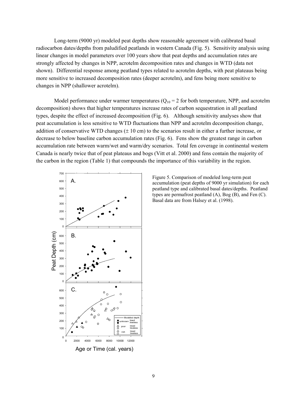Long-term (9000 yr) modeled peat depths show reasonable agreement with calibrated basal radiocarbon dates/depths from paludified peatlands in western Canada (Fig. 5). Sensitivity analysis using linear changes in model parameters over 100 years show that peat depths and accumulation rates are strongly affected by changes in NPP, acrotelm decomposition rates and changes in WTD (data not shown). Differential response among peatland types related to acrotelm depths, with peat plateaus being more sensitive to increased decomposition rates (deeper acrotelm), and fens being more sensitive to changes in NPP (shallower acrotelm).

Model performance under warmer temperatures  $(Q_{10} = 2$  for both temperature, NPP, and acrotelm decomposition) shows that higher temperatures increase rates of carbon sequestration in all peatland types, despite the effect of increased decomposition (Fig. 6). Although sensitivity analyses show that peat accumulation is less sensitive to WTD fluctuations than NPP and acrotelm decomposition change, addition of conservative WTD changes  $(\pm 10 \text{ cm})$  to the scenarios result in either a further increase, or decrease to below baseline carbon accumulation rates (Fig. 6). Fens show the greatest range in carbon accumulation rate between warm/wet and warm/dry scenarios. Total fen coverage in continental western Canada is nearly twice that of peat plateaus and bogs (Vitt et al. 2000) and fens contain the majority of the carbon in the region (Table 1) that compounds the importance of this variability in the region.



Figure 5. Comparison of modeled long-term peat accumulation (peat depths of 9000 yr simulation) for each peatland type and calibrated basal dates/depths. Peatland types are permafrost peatland (A), Bog (B), and Fen (C). Basal data are from Halsey et al. (1998).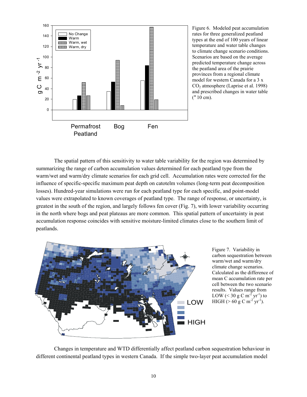

Figure 6. Modeled peat accumulation rates for three generalized peatland types at the end of 100 years of linear temperature and water table changes to climate change scenario conditions. Scenarios are based on the average predicted temperature change across the peatland area of the prairie provinces from a regional climate model for western Canada for a 3 x CO2 atmosphere (Laprise et al. 1998) and prescribed changes in water table ("10 cm).

The spatial pattern of this sensitivity to water table variability for the region was determined by summarizing the range of carbon accumulation values determined for each peatland type from the warm/wet and warm/dry climate scenarios for each grid cell. Accumulation rates were corrected for the influence of specific-specific maximum peat depth on catotelm volumes (long-term peat decomposition losses). Hundred-year simulations were run for each peatland type for each specific, and point-model values were extrapolated to known coverages of peatland type. The range of response, or uncertainty, is greatest in the south of the region, and largely follows fen cover (Fig. 7), with lower variability occurring in the north where bogs and peat plateaus are more common. This spatial pattern of uncertainty in peat accumulation response coincides with sensitive moisture-limited climates close to the southern limit of peatlands.



Figure 7. Variability in carbon sequestration between warm/wet and warm/dry climate change scenarios. Calculated as the difference of mean C accumulation rate per cell between the two scenario results. Values range from LOW ( $<$  30 g C m<sup>-2</sup> yr<sup>-1</sup>) to HIGH ( $> 60 \text{ g C m}^{-2} \text{ yr}^{-1}$ ).

Changes in temperature and WTD differentially affect peatland carbon sequestration behaviour in different continental peatland types in western Canada. If the simple two-layer peat accumulation model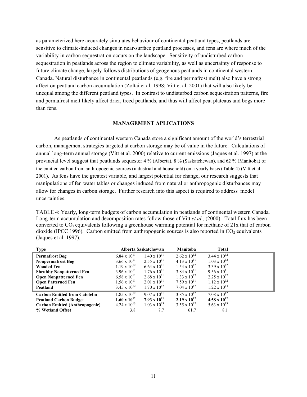as parameterized here accurately simulates behaviour of continental peatland types, peatlands are sensitive to climate-induced changes in near-surface peatland processes, and fens are where much of the variability in carbon sequestration occurs on the landscape. Sensitivity of undisturbed carbon sequestration in peatlands across the region to climate variability, as well as uncertainty of response to future climate change, largely follows distributions of geogenous peatlands in continental western Canada. Natural disturbance in continental peatlands (e.g. fire and permafrost melt) also have a strong affect on peatland carbon accumulation (Zoltai et al. 1998; Vitt et al. 2001) that will also likely be unequal among the different peatland types. In contrast to undisturbed carbon sequestration patterns, fire and permafrost melt likely affect drier, treed peatlands, and thus will affect peat plateaus and bogs more than fens.

#### **MANAGEMENT APLICATIONS**

As peatlands of continental western Canada store a significant amount of the world's terrestrial carbon, management strategies targeted at carbon storage may be of value in the future. Calculations of annual long-term annual storage (Vitt et al. 2000) relative to current emissions (Jaques et al. 1997) at the provincial level suggest that peatlands sequester 4 % (Alberta), 8 % (Saskatchewan), and 62 % (Manitoba) of the emitted carbon from anthropogenic sources (industrial and household) on a yearly basis (Table 4) (Vitt et al. 2001). As fens have the greatest variable, and largest potential for change, our research suggests that manipulations of fen water tables or changes induced from natural or anthropogenic disturbances may allow for changes in carbon storage. Further research into this aspect is required to address model uncertainties.

TABLE 4: Yearly, long-term budgets of carbon accumulation in peatlands of continental western Canada. Long-term accumulation and decomposition rates follow those of Vitt *et al.,* (2000). Total flux has been converted to  $CO<sub>2</sub>$  equivalents following a greenhouse warming potential for methane of 21x that of carbon dioxide (IPCC 1996). Carbon emitted from anthropogenic sources is also reported in  $CO<sub>2</sub>$  equivalents (Jaques et al. 1997).

| Type                                  | Alberta Saskatchewan  |                       | <b>Manitoba</b>       | <b>Total</b>          |  |
|---------------------------------------|-----------------------|-----------------------|-----------------------|-----------------------|--|
| <b>Permafrost Bog</b>                 | $6.84 \times 10^{11}$ | $1.40 \times 10^{11}$ | $2.62 \times 10^{12}$ | $3.44 \times 10^{12}$ |  |
| <b>Nonpermafrost Bog</b>              | $3.66 \times 10^{11}$ | $2.55 \times 10^{11}$ | $4.13 \times 10^{11}$ | $1.03 \times 10^{12}$ |  |
| Wooded Fen                            | $1.19 \times 10^{12}$ | $6.64 \times 10^{11}$ | $1.54 \times 10^{12}$ | $3.39 \times 10^{12}$ |  |
| <b>Shrubby Nonpatterned Fen</b>       | $3.96 \times 10^{11}$ | $1.76 \times 10^{11}$ | $3.84 \times 10^{11}$ | $9.56 \times 10^{11}$ |  |
| <b>Open Nonpatterned Fen</b>          | $6.58 \times 10^{11}$ | $2.68 \times 10^{11}$ | $1.33 \times 10^{12}$ | $2.25 \times 10^{12}$ |  |
| <b>Open Patterned Fen</b>             | $1.56 \times 10^{11}$ | $2.01 \times 10^{11}$ | $7.59 \times 10^{11}$ | $1.12 \times 10^{12}$ |  |
| Peatland                              | $3.45 \times 10^{12}$ | $1.70 \times 10^{12}$ | $7.04 \times 10^{12}$ | $1.22 \times 10^{13}$ |  |
| <b>Carbon Emitted from Catotelm</b>   | $1.85 \times 10^{12}$ | $9.07 \times 10^{11}$ | $3.85 \times 10^{12}$ | $7.08 \times 10^{12}$ |  |
| <b>Peatland Carbon Budget</b>         | $1.60 \times 10^{12}$ | $7.93 \times 10^{11}$ | $2.19 \times 10^{12}$ | 4.58 x $10^{12}$      |  |
| <b>Carbon Emitted (Anthropogenic)</b> | $4.24 \times 10^{13}$ | $1.03 \times 10^{13}$ | $3.55 \times 10^{12}$ | $5.63 \times 10^{13}$ |  |
| % Wetland Offset                      | 3.8                   | 7.7                   | 61.7                  | 8.1                   |  |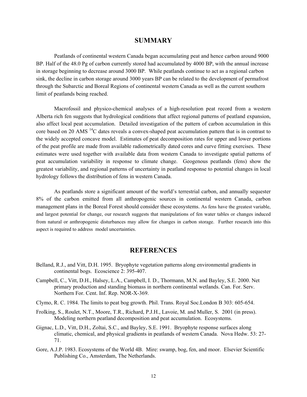#### **SUMMARY**

Peatlands of continental western Canada began accumulating peat and hence carbon around 9000 BP. Half of the 48.0 Pg of carbon currently stored had accumulated by 4000 BP, with the annual increase in storage beginning to decrease around 3000 BP. While peatlands continue to act as a regional carbon sink, the decline in carbon storage around 3000 years BP can be related to the development of permafrost through the Subarctic and Boreal Regions of continental western Canada as well as the current southern limit of peatlands being reached.

Macrofossil and physico-chemical analyses of a high-resolution peat record from a western Alberta rich fen suggests that hydrological conditions that affect regional patterns of peatland expansion, also affect local peat accumulation. Detailed investigation of the pattern of carbon accumulation in this core based on 20 AMS 14C dates reveals a convex-shaped peat accumulation pattern that is in contrast to the widely accepted concave model. Estimates of peat decomposition rates for upper and lower portions of the peat profile are made from available radiometrically dated cores and curve fitting exercises. These estimates were used together with available data from western Canada to investigate spatial patterns of peat accumulation variability in response to climate change. Geogenous peatlands (fens) show the greatest variability, and regional patterns of uncertainty in peatland response to potential changes in local hydrology follows the distribution of fens in western Canada.

As peatlands store a significant amount of the world's terrestrial carbon, and annually sequester 8% of the carbon emitted from all anthropogenic sources in continental western Canada, carbon management plans in the Boreal Forest should consider these ecosystems. As fens have the greatest variable, and largest potential for change, our research suggests that manipulations of fen water tables or changes induced from natural or anthropogenic disturbances may allow for changes in carbon storage. Further research into this aspect is required to address model uncertainties.

#### **REFERENCES**

- Belland, R.J., and Vitt, D.H. 1995. Bryophyte vegetation patterns along environmental gradients in continental bogs. Ecoscience 2: 395-407.
- Campbell, C., Vitt, D.H., Halsey, L.A., Campbell, I. D., Thormann, M.N. and Bayley, S.E. 2000. Net primary production and standing biomass in northern continental wetlands. Can. For. Serv. Northern For. Cent. Inf. Rep. NOR-X-369.
- Clymo, R. C. 1984. The limits to peat bog growth. Phil. Trans. Royal Soc.London B 303: 605-654.
- Frolking, S., Roulet, N.T., Moore, T.R., Richard, P.J.H., Lavoie, M. and Muller, S. 2001 (in press). Modeling northern peatland decomposition and peat accumulation. Ecosystems.
- Gignac, L.D., Vitt, D.H., Zoltai, S.C., and Bayley, S.E. 1991. Bryophyte response surfaces along climatic, chemical, and physical gradients in peatlands of western Canada. Nova Hedw. 53: 27- 71.
- Gore, A.J.P. 1983. Ecosystems of the World 4B. Mire: swamp, bog, fen, and moor. Elsevier Scientific Publishing Co., Amsterdam, The Netherlands.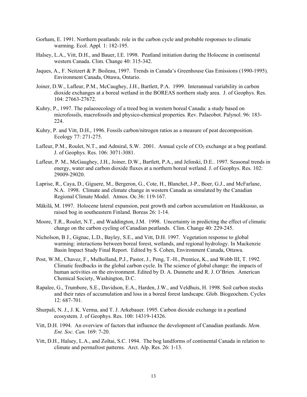- Gorham, E. 1991. Northern peatlands: role in the carbon cycle and probable responses to climatic warming. Ecol. Appl*.* 1: 182-195.
- Halsey, L.A., Vitt, D.H., and Bauer, I.E. 1998. Peatland initiation during the Holocene in continental western Canada. Clim. Change 40: 315-342.
- Jaques, A., F. Neitzert & P. Boileau, 1997. Trends in Canada's Greenhouse Gas Emissions (1990-1995). Environment Canada, Ottawa, Ontario.
- Joiner, D.W., Lafleur, P.M., McCaughey, J.H., Bartlett, P.A. 1999. Interannual variability in carbon dioxide exchanges at a boreal wetland in the BOREAS northern study area. J. of Geophys. Res. 104: 27663-27672.
- Kuhry, P., 1997. The palaeoecology of a treed bog in western boreal Canada: a study based on microfossils, macrofossils and physico-chemical properties*.* Rev. Palaeobot. Palynol. 96: 183- 224.
- Kuhry, P. and Vitt, D.H., 1996. Fossils carbon/nitrogen ratios as a measure of peat decomposition. Ecology 77: 271-275.
- Lafleur, P.M., Roulet, N.T., and Admiral, S.W. 2001. Annual cycle of  $CO_2$  exchange at a bog peatland. J. of Geophys. Res. 106: 3071-3081.
- Lafleur, P. M., McGaughey, J.H., Joiner, D.W., Bartlett, P.A., and Jelinski, D.E.. 1997. Seasonal trends in energy, water and carbon dioxide fluxes at a northern boreal wetland. J. of Geophys. Res. 102: 29009-29020.
- Laprise, R., Caya, D., Giguere, M., Bergeron, G., Cote, H., Blanchet, J-P., Boer, G.J., and McFarlane, N.A. 1998. Climate and climate change in western Canada as simulated by the Canadian Regional Climate Model. Atmos. Oc*.*36: 119-167.
- Mäkilä, M. 1997. Holocene lateral expansion, peat growth and carbon accumulation on Haukkusuo, as raised bog in southeastern Finland. Boreas 26: 1-14.
- Moore, T.R., Roulet, N.T., and Waddington, J.M. 1998. Uncertainty in predicting the effect of climatic change on the carbon cycling of Canadian peatlands. Clim. Change 40: 229-245.
- Nicholson, B J., Gignac, L.D., Bayley, S.E., and Vitt, D.H. 1997. Vegetation response to global warming: interactions between boreal forest, wetlands, and regional hydrology. In Mackenzie Basin Impact Study Final Report. Edited by S. Cohen, Environment Canada, Ottawa.
- Post, W.M., Chavez, F., Mulholland, P.J., Pastor, J., Peng, T.-H., Prentice, K., and Webb III, T. 1992. Climatic feedbacks in the global carbon cycle. In The science of global change: the impacts of human activities on the environment. Edited by D. A. Dunnette and R. J. O'Brien. American Chemical Society, Washington, D.C.
- Rapalee, G., Trumbore, S.E., Davidson, E.A., Harden, J.W., and Veldhuis, H. 1998. Soil carbon stocks and their rates of accumulation and loss in a boreal forest landscape. Glob. Biogeochem. Cycles 12: 687-701.
- Shurpali, N. J., J. K. Verma, and T. J. Arkebauer. 1995. Carbon dioxide exchange in a peatland ecosystem. J. of Geophys. Res. 100: 14319-14326.
- Vitt, D.H. 1994. An overview of factors that influence the development of Canadian peatlands. *Mem. Ent. Soc. Can.* 169: 7-20.
- Vitt, D.H., Halsey, L.A., and Zoltai, S.C. 1994. The bog landforms of continental Canada in relation to climate and permafrost patterns. Arct. Alp. Res. 26: 1-13.